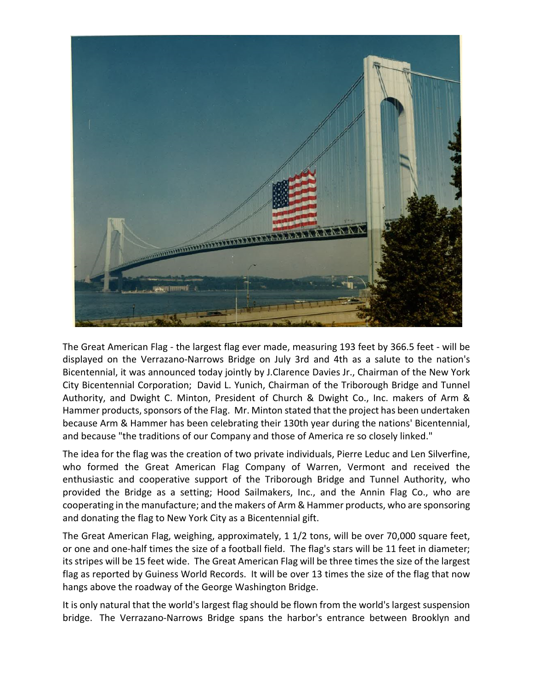

The Great American Flag - the largest flag ever made, measuring 193 feet by 366.5 feet - will be displayed on the Verrazano-Narrows Bridge on July 3rd and 4th as a salute to the nation's Bicentennial, it was announced today jointly by J.Clarence Davies Jr., Chairman of the New York City Bicentennial Corporation; David L. Yunich, Chairman of the Triborough Bridge and Tunnel Authority, and Dwight C. Minton, President of Church & Dwight Co., Inc. makers of Arm & Hammer products, sponsors of the Flag. Mr. Minton stated that the project has been undertaken because Arm & Hammer has been celebrating their 130th year during the nations' Bicentennial, and because "the traditions of our Company and those of America re so closely linked."

The idea for the flag was the creation of two private individuals, Pierre Leduc and Len Silverfine, who formed the Great American Flag Company of Warren, Vermont and received the enthusiastic and cooperative support of the Triborough Bridge and Tunnel Authority, who provided the Bridge as a setting; Hood Sailmakers, Inc., and the Annin Flag Co., who are cooperating in the manufacture; and the makers of Arm & Hammer products, who are sponsoring and donating the flag to New York City as a Bicentennial gift.

The Great American Flag, weighing, approximately, 1 1/2 tons, will be over 70,000 square feet, or one and one-half times the size of a football field. The flag's stars will be 11 feet in diameter; its stripes will be 15 feet wide. The Great American Flag will be three times the size of the largest flag as reported by Guiness World Records. It will be over 13 times the size of the flag that now hangs above the roadway of the George Washington Bridge.

It is only natural that the world's largest flag should be flown from the world's largest suspension bridge. The Verrazano-Narrows Bridge spans the harbor's entrance between Brooklyn and